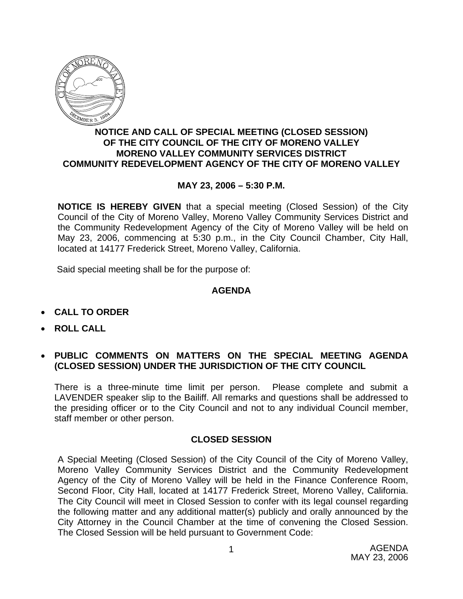

## **NOTICE AND CALL OF SPECIAL MEETING (CLOSED SESSION) OF THE CITY COUNCIL OF THE CITY OF MORENO VALLEY MORENO VALLEY COMMUNITY SERVICES DISTRICT COMMUNITY REDEVELOPMENT AGENCY OF THE CITY OF MORENO VALLEY**

## **MAY 23, 2006 – 5:30 P.M.**

**NOTICE IS HEREBY GIVEN** that a special meeting (Closed Session) of the City Council of the City of Moreno Valley, Moreno Valley Community Services District and the Community Redevelopment Agency of the City of Moreno Valley will be held on May 23, 2006, commencing at 5:30 p.m., in the City Council Chamber, City Hall, located at 14177 Frederick Street, Moreno Valley, California.

Said special meeting shall be for the purpose of:

## **AGENDA**

- **CALL TO ORDER**
- **ROLL CALL**
- **PUBLIC COMMENTS ON MATTERS ON THE SPECIAL MEETING AGENDA (CLOSED SESSION) UNDER THE JURISDICTION OF THE CITY COUNCIL**

There is a three-minute time limit per person. Please complete and submit a LAVENDER speaker slip to the Bailiff. All remarks and questions shall be addressed to the presiding officer or to the City Council and not to any individual Council member, staff member or other person.

## **CLOSED SESSION**

A Special Meeting (Closed Session) of the City Council of the City of Moreno Valley, Moreno Valley Community Services District and the Community Redevelopment Agency of the City of Moreno Valley will be held in the Finance Conference Room, Second Floor, City Hall, located at 14177 Frederick Street, Moreno Valley, California. The City Council will meet in Closed Session to confer with its legal counsel regarding the following matter and any additional matter(s) publicly and orally announced by the City Attorney in the Council Chamber at the time of convening the Closed Session. The Closed Session will be held pursuant to Government Code: